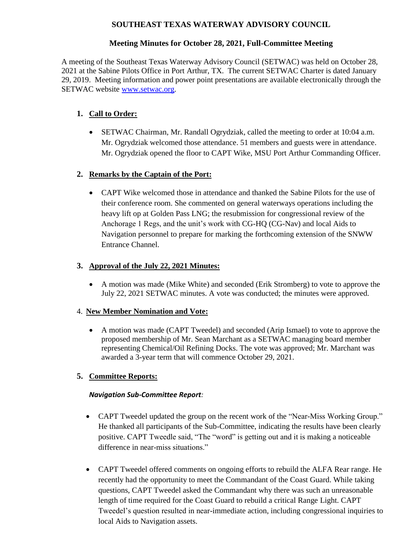# **SOUTHEAST TEXAS WATERWAY ADVISORY COUNCIL**

# **Meeting Minutes for October 28, 2021, Full-Committee Meeting**

A meeting of the Southeast Texas Waterway Advisory Council (SETWAC) was held on October 28, 2021 at the Sabine Pilots Office in Port Arthur, TX. The current SETWAC Charter is dated January 29, 2019. Meeting information and power point presentations are available electronically through the SETWAC website [www.setwac.org.](http://www.setwac.org/)

# **1. Call to Order:**

 SETWAC Chairman, Mr. Randall Ogrydziak, called the meeting to order at 10:04 a.m. Mr. Ogrydziak welcomed those attendance. 51 members and guests were in attendance. Mr. Ogrydziak opened the floor to CAPT Wike, MSU Port Arthur Commanding Officer.

# **2. Remarks by the Captain of the Port:**

 CAPT Wike welcomed those in attendance and thanked the Sabine Pilots for the use of their conference room. She commented on general waterways operations including the heavy lift op at Golden Pass LNG; the resubmission for congressional review of the Anchorage 1 Regs, and the unit's work with CG-HQ (CG-Nav) and local Aids to Navigation personnel to prepare for marking the forthcoming extension of the SNWW Entrance Channel.

# **3. Approval of the July 22, 2021 Minutes:**

 A motion was made (Mike White) and seconded (Erik Stromberg) to vote to approve the July 22, 2021 SETWAC minutes. A vote was conducted; the minutes were approved.

# 4. **New Member Nomination and Vote:**

 A motion was made (CAPT Tweedel) and seconded (Arip Ismael) to vote to approve the proposed membership of Mr. Sean Marchant as a SETWAC managing board member representing Chemical/Oil Refining Docks. The vote was approved; Mr. Marchant was awarded a 3-year term that will commence October 29, 2021.

# **5. Committee Reports:**

### *Navigation Sub-Committee Report:*

- CAPT Tweedel updated the group on the recent work of the "Near-Miss Working Group." He thanked all participants of the Sub-Committee, indicating the results have been clearly positive. CAPT Tweedle said, "The "word" is getting out and it is making a noticeable difference in near-miss situations."
- CAPT Tweedel offered comments on ongoing efforts to rebuild the ALFA Rear range. He recently had the opportunity to meet the Commandant of the Coast Guard. While taking questions, CAPT Tweedel asked the Commandant why there was such an unreasonable length of time required for the Coast Guard to rebuild a critical Range Light. CAPT Tweedel's question resulted in near-immediate action, including congressional inquiries to local Aids to Navigation assets.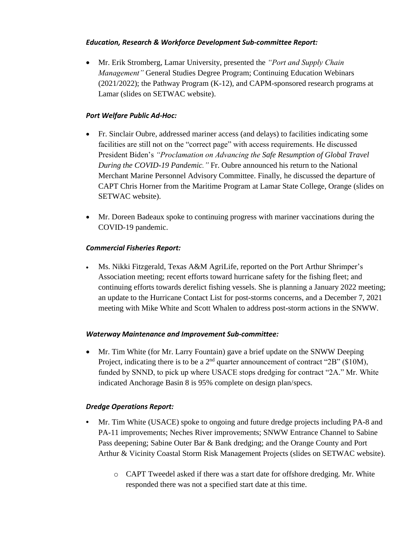### *Education, Research & Workforce Development Sub-committee Report:*

 Mr. Erik Stromberg, Lamar University, presented the *"Port and Supply Chain Management"* General Studies Degree Program; Continuing Education Webinars (2021/2022); the Pathway Program (K-12), and CAPM-sponsored research programs at Lamar (slides on SETWAC website).

### *Port Welfare Public Ad-Hoc:*

- Fr. Sinclair Oubre, addressed mariner access (and delays) to facilities indicating some facilities are still not on the "correct page" with access requirements. He discussed President Biden's *"Proclamation on Advancing the Safe Resumption of Global Travel During the COVID-19 Pandemic."* Fr. Oubre announced his return to the National Merchant Marine Personnel Advisory Committee. Finally, he discussed the departure of CAPT Chris Horner from the Maritime Program at Lamar State College, Orange (slides on SETWAC website).
- Mr. Doreen Badeaux spoke to continuing progress with mariner vaccinations during the COVID-19 pandemic.

# *Commercial Fisheries Report:*

 Ms. Nikki Fitzgerald, Texas A&M AgriLife, reported on the Port Arthur Shrimper's Association meeting; recent efforts toward hurricane safety for the fishing fleet; and continuing efforts towards derelict fishing vessels. She is planning a January 2022 meeting; an update to the Hurricane Contact List for post-storms concerns, and a December 7, 2021 meeting with Mike White and Scott Whalen to address post-storm actions in the SNWW.

### *Waterway Maintenance and Improvement Sub-committee:*

 Mr. Tim White (for Mr. Larry Fountain) gave a brief update on the SNWW Deeping Project, indicating there is to be a  $2<sup>nd</sup>$  quarter announcement of contract "2B" (\$10M), funded by SNND, to pick up where USACE stops dredging for contract "2A." Mr. White indicated Anchorage Basin 8 is 95% complete on design plan/specs.

### *Dredge Operations Report:*

- **•** Mr. Tim White (USACE) spoke to ongoing and future dredge projects including PA-8 and PA-11 improvements; Neches River improvements; SNWW Entrance Channel to Sabine Pass deepening; Sabine Outer Bar & Bank dredging; and the Orange County and Port Arthur & Vicinity Coastal Storm Risk Management Projects (slides on SETWAC website).
	- o CAPT Tweedel asked if there was a start date for offshore dredging. Mr. White responded there was not a specified start date at this time.